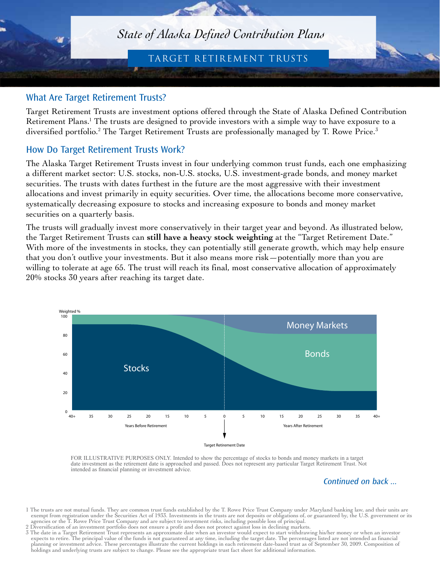# *State of Alaska Defined Contribution Plans*

## target retirement trusts

#### What Are Target Retirement Trusts?

Target Retirement Trusts are investment options offered through the State of Alaska Defined Contribution Retirement Plans.<sup>1</sup> The trusts are designed to provide investors with a simple way to have exposure to a diversified portfolio.<sup>2</sup> The Target Retirement Trusts are professionally managed by T. Rowe Price.<sup>3</sup>

#### How Do Target Retirement Trusts Work?

The Alaska Target Retirement Trusts invest in four underlying common trust funds, each one emphasizing a different market sector: U.S. stocks, non-U.S. stocks, U.S. investment-grade bonds, and money market securities. The trusts with dates furthest in the future are the most aggressive with their investment allocations and invest primarily in equity securities. Over time, the allocations become more conservative, systematically decreasing exposure to stocks and increasing exposure to bonds and money market securities on a quarterly basis.

The trusts will gradually invest more conservatively in their target year and beyond. As illustrated below, the Target Retirement Trusts can **still have a heavy stock weighting** at the "Target Retirement Date." With more of the investments in stocks, they can potentially still generate growth, which may help ensure that you don't outlive your investments. But it also means more risk—potentially more than you are willing to tolerate at age 65. The trust will reach its final, most conservative allocation of approximately 20% stocks 30 years after reaching its target date.



FOR ILLUSTRATIVE PURPOSES ONLY. Intended to show the percentage of stocks to bonds and money markets in a target date investment as the retirement date is approached and passed. Does not represent any particular Target Retirement Trust. Not intended as financial planning or investment advice.

Continued on back ...

- 1 The trusts are not mutual funds. They are common trust funds established by the T. Rowe Price Trust Company under Maryland banking law, and their units are exempt from registration under the Securities Act of 1933. Investments in the trusts are not deposits or obligations of, or guaranteed by, the U.S. government or its agencies or the T. Rowe Price Trust Company and are subject to investment risks, including possible loss of principal.
- 2 Diversification of an investment portfolio does not ensure a profit and does not protect against loss in declining markets.
- 3 The date in a Target Retirement Trust represents an approximate date when an investor would expect to start withdrawing his/her money or when an investor expects to retire. The principal value of the funds is not guaranteed at any time, including the target date. The percentages listed are not intended as financial planning or investment advice. These percentages illustrate the current holdings in each retirement date-based trust as of September 30, 2009. Composition of holdings and underlying trusts are subject to change. Please see the appropriate trust fact sheet for additional information.